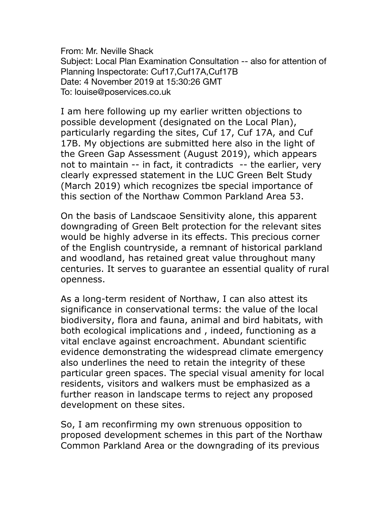From: Mr. Neville Shack Subject: Local Plan Examination Consultation -- also for attention of Planning Inspectorate: Cuf17,Cuf17A,Cuf17B Date: 4 November 2019 at 15:30:26 GMT To: louise@poservices.co.uk

I am here following up my earlier written objections to possible development (designated on the Local Plan), particularly regarding the sites, Cuf 17, Cuf 17A, and Cuf 17B. My objections are submitted here also in the light of the Green Gap Assessment (August 2019), which appears not to maintain -- in fact, it contradicts -- the earlier, very clearly expressed statement in the LUC Green Belt Study (March 2019) which recognizes tbe special importance of this section of the Northaw Common Parkland Area 53.

On the basis of Landscaoe Sensitivity alone, this apparent downgrading of Green Belt protection for the relevant sites would be highly adverse in its effects. This precious corner of the English countryside, a remnant of historical parkland and woodland, has retained great value throughout many centuries. It serves to guarantee an essential quality of rural openness.

As a long-term resident of Northaw, I can also attest its significance in conservational terms: the value of the local biodiversity, flora and fauna, animal and bird habitats, with both ecological implications and , indeed, functioning as a vital enclave against encroachment. Abundant scientific evidence demonstrating the widespread climate emergency also underlines the need to retain the integrity of these particular green spaces. The special visual amenity for local residents, visitors and walkers must be emphasized as a further reason in landscape terms to reject any proposed development on these sites.

So, I am reconfirming my own strenuous opposition to proposed development schemes in this part of the Northaw Common Parkland Area or the downgrading of its previous